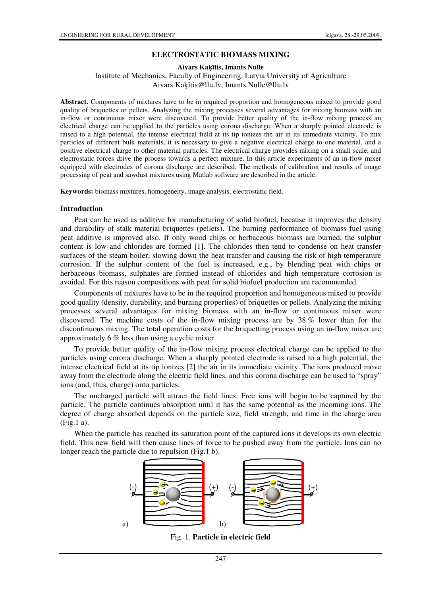### **ELECTROSTATIC BIOMASS MIXING**

**Aivars Ka**ķī**tis, Imants Nulle** 

### Institute of Mechanics, Faculty of Engineering, Latvia University of Agriculture Aivars.Kaķītis@llu.lv, Imants.Nulle@llu.lv

**Abstract.** Components of mixtures have to be in required proportion and homogeneous mixed to provide good quality of briquettes or pellets. Analyzing the mixing processes several advantages for mixing biomass with an in-flow or continuous mixer were discovered. To provide better quality of the in-flow mixing process an electrical charge can be applied to the particles using corona discharge. When a sharply pointed electrode is raised to a high potential, the intense electrical field at its tip ionizes the air in its immediate vicinity. To mix particles of different bulk materials, it is necessary to give a negative electrical charge to one material, and a positive electrical charge to other material particles. The electrical charge provides mixing on a small scale, and electrostatic forces drive the process towards a perfect mixture. In this article experiments of an in-flow mixer equipped with electrodes of corona discharge are described. The methods of calibration and results of image processing of peat and sawdust mixtures using Matlab software are described in the article.

**Keywords:** biomass mixtures, homogeneity, image analysis, electrostatic field.

#### **Introduction**

Peat can be used as additive for manufacturing of solid biofuel, because it improves the density and durability of stalk material briquettes (pellets). The burning performance of biomass fuel using peat additive is improved also. If only wood chips or herbaceous biomass are burned, the sulphur content is low and chlorides are formed [1]. The chlorides then tend to condense on heat transfer surfaces of the steam boiler, slowing down the heat transfer and causing the risk of high temperature corrosion. If the sulphur content of the fuel is increased, e.g., by blending peat with chips or herbaceous biomass, sulphates are formed instead of chlorides and high temperature corrosion is avoided. For this reason compositions with peat for solid biofuel production are recommended.

Components of mixtures have to be in the required proportion and homogeneous mixed to provide good quality (density, durability, and burning properties) of briquettes or pellets. Analyzing the mixing processes several advantages for mixing biomass with an in-flow or continuous mixer were discovered. The machine costs of the in-flow mixing process are by 38 % lower than for the discontinuous mixing. The total operation costs for the briquetting process using an in-flow mixer are approximately 6 % less than using a cyclic mixer.

To provide better quality of the in-flow mixing process electrical charge can be applied to the particles using corona discharge. When a sharply pointed electrode is raised to a high potential, the intense electrical field at its tip ionizes [2] the air in its immediate vicinity. The ions produced move away from the electrode along the electric field lines, and this corona discharge can be used to "spray" ions (and, thus, charge) onto particles.

The uncharged particle will attract the field lines. Free ions will begin to be captured by the particle. The particle continues absorption until it has the same potential as the incoming ions. The degree of charge absorbed depends on the particle size, field strength, and time in the charge area (Fig.1 a).

When the particle has reached its saturation point of the captured ions it develops its own electric field. This new field will then cause lines of force to be pushed away from the particle. Ions can no longer reach the particle due to repulsion (Fig.1 b).



Fig. 1. **Particle in electric field**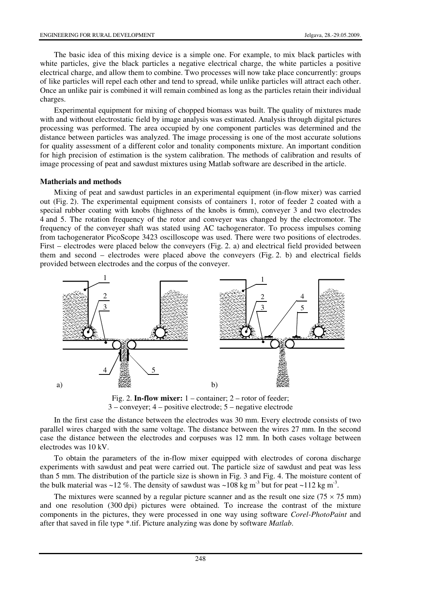The basic idea of this mixing device is a simple one. For example, to mix black particles with white particles, give the black particles a negative electrical charge, the white particles a positive electrical charge, and allow them to combine. Two processes will now take place concurrently: groups of like particles will repel each other and tend to spread, while unlike particles will attract each other. Once an unlike pair is combined it will remain combined as long as the particles retain their individual charges.

Experimental equipment for mixing of chopped biomass was built. The quality of mixtures made with and without electrostatic field by image analysis was estimated. Analysis through digital pictures processing was performed. The area occupied by one component particles was determined and the distance between particles was analyzed. The image processing is one of the most accurate solutions for quality assessment of a different color and tonality components mixture. An important condition for high precision of estimation is the system calibration. The methods of calibration and results of image processing of peat and sawdust mixtures using Matlab software are described in the article.

### **Matherials and methods**

Mixing of peat and sawdust particles in an experimental equipment (in-flow mixer) was carried out (Fig. 2). The experimental equipment consists of containers 1, rotor of feeder 2 coated with a special rubber coating with knobs (highness of the knobs is 6mm), conveyer 3 and two electrodes 4 and 5. The rotation frequency of the rotor and conveyer was changed by the electromotor. The frequency of the conveyer shaft was stated using AC tachogenerator. To process impulses coming from tachogenerator PicoScope 3423 oscilloscope was used. There were two positions of electrodes. First – electrodes were placed below the conveyers (Fig. 2. a) and electrical field provided between them and second – electrodes were placed above the conveyers (Fig. 2. b) and electrical fields provided between electrodes and the corpus of the conveyer.



Fig. 2. **In-flow mixer:** 1 – container; 2 – rotor of feeder; 3 – conveyer; 4 – positive electrode; 5 – negative electrode

In the first case the distance between the electrodes was 30 mm. Every electrode consists of two parallel wires charged with the same voltage. The distance between the wires 27 mm. In the second case the distance between the electrodes and corpuses was 12 mm. In both cases voltage between electrodes was 10 kV.

To obtain the parameters of the in-flow mixer equipped with electrodes of corona discharge experiments with sawdust and peat were carried out. The particle size of sawdust and peat was less than 5 mm. The distribution of the particle size is shown in Fig. 3 and Fig. 4. The moisture content of the bulk material was ~12 %. The density of sawdust was ~108 kg m<sup>-3</sup> but for peat ~112 kg m<sup>-3</sup>.

The mixtures were scanned by a regular picture scanner and as the result one size ( $75 \times 75$  mm) and one resolution (300 dpi) pictures were obtained. To increase the contrast of the mixture components in the pictures, they were processed in one way using software *Corel-PhotoPaint* and after that saved in file type \*.tif. Picture analyzing was done by software *Matlab*.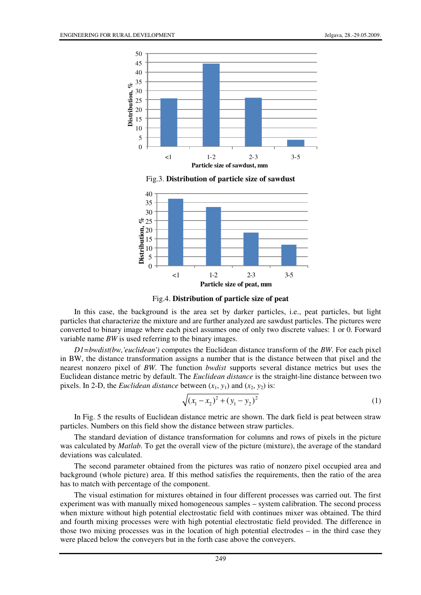

Fig.3. **Distribution of particle size of sawdust**



Fig.4. **Distribution of particle size of peat**

In this case, the background is the area set by darker particles, i.e., peat particles, but light particles that characterize the mixture and are further analyzed are sawdust particles. The pictures were converted to binary image where each pixel assumes one of only two discrete values: 1 or 0. Forward variable name *BW* is used referring to the binary images.

*D1=bwdist(bw,'euclidean')* computes the Euclidean distance transform of the *BW*. For each pixel in BW, the distance transformation assigns a number that is the distance between that pixel and the nearest nonzero pixel of *BW*. The function *bwdist* supports several distance metrics but uses the Euclidean distance metric by default. The *Euclidean distance* is the straight-line distance between two pixels. In 2-D, the *Euclidean distance* between  $(x_1, y_1)$  and  $(x_2, y_2)$  is:

$$
\sqrt{(x_1 - x_2)^2 + (y_1 - y_2)^2}
$$
 (1)

In Fig. 5 the results of Euclidean distance metric are shown. The dark field is peat between straw particles. Numbers on this field show the distance between straw particles.

The standard deviation of distance transformation for columns and rows of pixels in the picture was calculated by *Matlab*. To get the overall view of the picture (mixture), the average of the standard deviations was calculated.

The second parameter obtained from the pictures was ratio of nonzero pixel occupied area and background (whole picture) area. If this method satisfies the requirements, then the ratio of the area has to match with percentage of the component.

The visual estimation for mixtures obtained in four different processes was carried out. The first experiment was with manually mixed homogeneous samples – system calibration. The second process when mixture without high potential electrostatic field with continues mixer was obtained. The third and fourth mixing processes were with high potential electrostatic field provided. The difference in those two mixing processes was in the location of high potential electrodes – in the third case they were placed below the conveyers but in the forth case above the conveyers.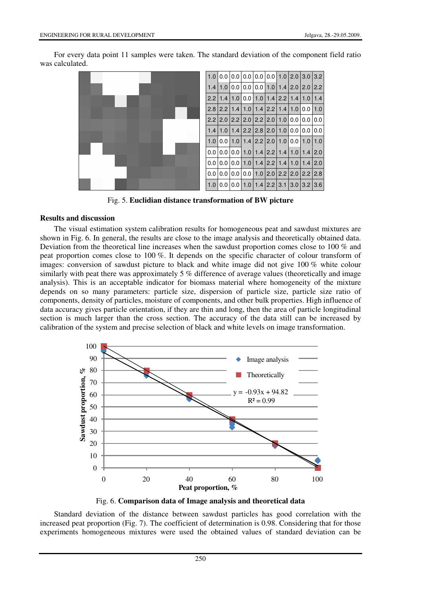For every data point 11 samples were taken. The standard deviation of the component field ratio was calculated.



Fig. 5. **Euclidian distance transformation of BW picture**

## **Results and discussion**

The visual estimation system calibration results for homogeneous peat and sawdust mixtures are shown in Fig. 6. In general, the results are close to the image analysis and theoretically obtained data. Deviation from the theoretical line increases when the sawdust proportion comes close to 100 % and peat proportion comes close to 100 %. It depends on the specific character of colour transform of images: conversion of sawdust picture to black and white image did not give 100 % white colour similarly with peat there was approximately 5 % difference of average values (theoretically and image analysis). This is an acceptable indicator for biomass material where homogeneity of the mixture depends on so many parameters: particle size, dispersion of particle size, particle size ratio of components, density of particles, moisture of components, and other bulk properties. High influence of data accuracy gives particle orientation, if they are thin and long, then the area of particle longitudinal section is much larger than the cross section. The accuracy of the data still can be increased by calibration of the system and precise selection of black and white levels on image transformation.



Fig. 6. **Comparison data of Image analysis and theoretical data** 

Standard deviation of the distance between sawdust particles has good correlation with the increased peat proportion (Fig. 7). The coefficient of determination is 0.98. Considering that for those experiments homogeneous mixtures were used the obtained values of standard deviation can be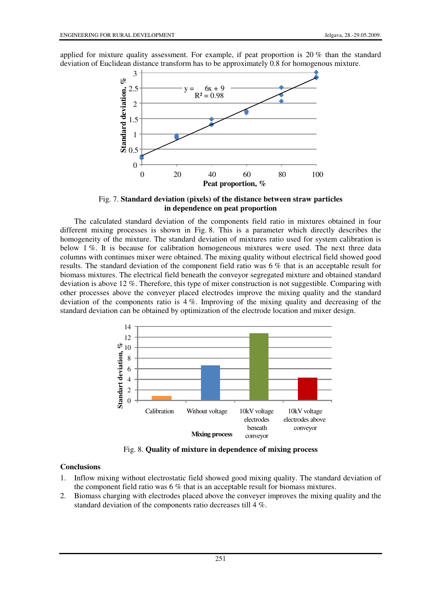applied for mixture quality assessment. For example, if peat proportion is 20 % than the standard deviation of Euclidean distance transform has to be approximately 0.8 for homogenous mixture.



Fig. 7. **Standard deviation (pixels) of the distance between straw particles in dependence on peat proportion**

The calculated standard deviation of the components field ratio in mixtures obtained in four different mixing processes is shown in Fig. 8. This is a parameter which directly describes the homogeneity of the mixture. The standard deviation of mixtures ratio used for system calibration is below 1 %. It is because for calibration homogeneous mixtures were used. The next three data columns with continues mixer were obtained. The mixing quality without electrical field showed good results. The standard deviation of the component field ratio was 6 % that is an acceptable result for biomass mixtures. The electrical field beneath the conveyor segregated mixture and obtained standard deviation is above 12 %. Therefore, this type of mixer construction is not suggestible. Comparing with other processes above the conveyer placed electrodes improve the mixing quality and the standard deviation of the components ratio is  $4\%$ . Improving of the mixing quality and decreasing of the standard deviation can be obtained by optimization of the electrode location and mixer design.



Fig. 8. **Quality of mixture in dependence of mixing process** 

# **Conclusions**

- 1. Inflow mixing without electrostatic field showed good mixing quality. The standard deviation of the component field ratio was 6 % that is an acceptable result for biomass mixtures.
- 2. Biomass charging with electrodes placed above the conveyer improves the mixing quality and the standard deviation of the components ratio decreases till 4 %.